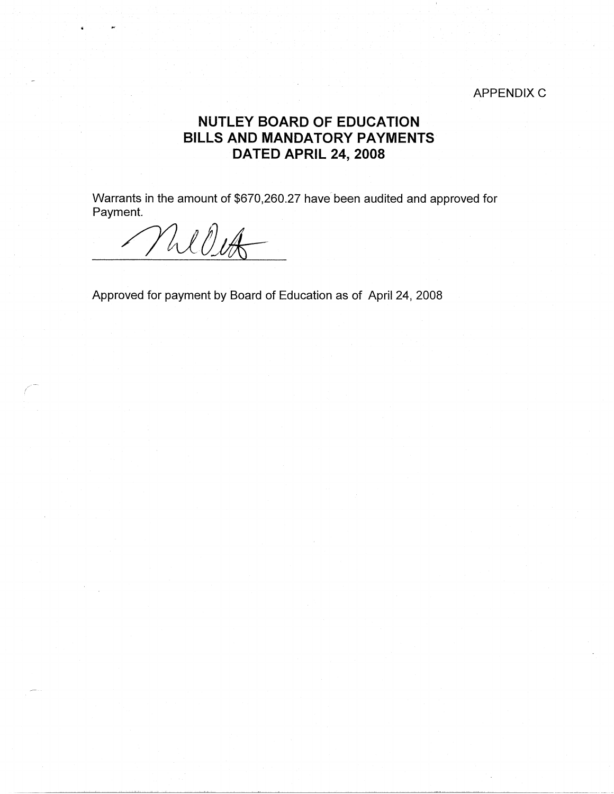## **APPENDIX C**

## **NUTLEY BOARD OF EDUCATION BILLS AND MANDATORY PAYMENTS DATED APRIL 24, 2008**

Warrants in the amount of \$670,260.27 have been audited and approved for Payment.

*/J11l).Jis* -

Approved for payment by Board of Education as of April 24, 2008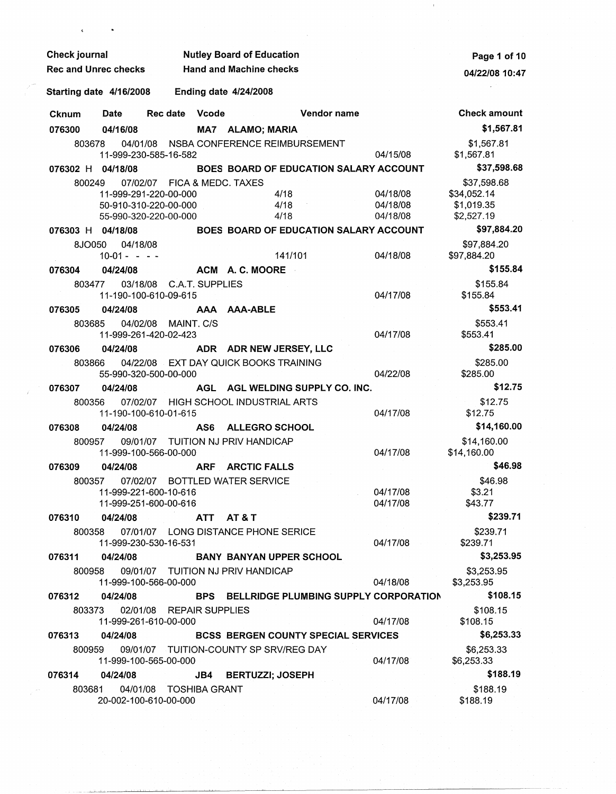|  | <b>Check journal</b><br><b>Rec and Unrec checks</b> |                                  |                                                   | <b>Nutley Board of Education</b> | Page 1 of 10                               |                                            |                      |                            |
|--|-----------------------------------------------------|----------------------------------|---------------------------------------------------|----------------------------------|--------------------------------------------|--------------------------------------------|----------------------|----------------------------|
|  |                                                     |                                  |                                                   | <b>Hand and Machine checks</b>   | 04/22/08 10:47                             |                                            |                      |                            |
|  | Starting date 4/16/2008                             |                                  |                                                   | <b>Ending date 4/24/2008</b>     |                                            |                                            |                      |                            |
|  | <b>Cknum</b>                                        | Date                             | Rec date                                          | Vcode                            |                                            | Vendor name                                |                      | <b>Check amount</b>        |
|  | 076300                                              | 04/16/08                         |                                                   |                                  | MA7 ALAMO; MARIA                           |                                            |                      | \$1,567.81                 |
|  | 803678                                              |                                  | 11-999-230-585-16-582                             |                                  |                                            | 04/01/08 NSBA CONFERENCE REIMBURSEMENT     | 04/15/08             | \$1,567.81<br>\$1,567.81   |
|  | 076302 H 04/18/08                                   |                                  |                                                   |                                  |                                            | BOES BOARD OF EDUCATION SALARY ACCOUNT     |                      | \$37,598.68                |
|  | 800249                                              |                                  | 07/02/07 FICA & MEDC. TAXES                       |                                  |                                            |                                            |                      | \$37,598.68                |
|  |                                                     |                                  | 11-999-291-220-00-000                             |                                  |                                            | 4/18                                       | 04/18/08             | \$34,052.14                |
|  |                                                     |                                  | 50-910-310-220-00-000                             |                                  |                                            | 4/18<br>4/18                               | 04/18/08<br>04/18/08 | \$1,019.35<br>\$2,527.19   |
|  | 076303 H 04/18/08                                   |                                  | 55-990-320-220-00-000                             |                                  |                                            | BOES BOARD OF EDUCATION SALARY ACCOUNT     |                      | \$97,884.20                |
|  |                                                     |                                  |                                                   |                                  |                                            |                                            |                      |                            |
|  |                                                     | 8JO050 04/18/08<br>$10-01 - - -$ |                                                   |                                  |                                            | 141/101                                    | 04/18/08             | \$97,884.20<br>\$97,884.20 |
|  | 076304                                              | 04/24/08                         |                                                   |                                  | ACM A.C. MOORE                             |                                            |                      | \$155.84                   |
|  |                                                     | 803477                           | 03/18/08 C.A.T. SUPPLIES                          |                                  |                                            |                                            |                      | \$155.84                   |
|  |                                                     |                                  | 11-190-100-610-09-615                             |                                  |                                            |                                            | 04/17/08             | \$155.84                   |
|  | 076305                                              | 04/24/08                         |                                                   |                                  | AAA AAA-ABLE                               |                                            |                      | \$553.41                   |
|  | 803685                                              |                                  | 04/02/08 MAINT. C/S                               |                                  |                                            |                                            |                      | \$553.41                   |
|  |                                                     |                                  | 11-999-261-420-02-423                             |                                  |                                            |                                            | 04/17/08             | \$553.41                   |
|  | 076306                                              | 04/24/08                         |                                                   |                                  | ADR ADR NEW JERSEY, LLC                    |                                            |                      | \$285.00                   |
|  | 803866                                              |                                  | 55-990-320-500-00-000                             |                                  | 04/22/08 EXT DAY QUICK BOOKS TRAINING      |                                            | 04/22/08             | \$285.00<br>\$285.00       |
|  | 076307                                              | 04/24/08                         |                                                   |                                  |                                            | AGL AGL WELDING SUPPLY CO. INC.            |                      | \$12.75                    |
|  | 800356                                              |                                  |                                                   |                                  | 07/02/07 HIGH SCHOOL INDUSTRIAL ARTS       |                                            |                      | \$12.75                    |
|  |                                                     |                                  | 11-190-100-610-01-615                             |                                  |                                            |                                            | 04/17/08             | \$12.75                    |
|  | 076308                                              | 04/24/08                         |                                                   | AS6                              | <b>ALLEGRO SCHOOL</b>                      |                                            |                      | \$14,160.00                |
|  |                                                     | 800957                           | 11-999-100-566-00-000                             |                                  | 09/01/07 TUITION NJ PRIV HANDICAP          |                                            | 04/17/08             | \$14,160.00<br>\$14,160.00 |
|  | 076309                                              | 04/24/08                         |                                                   |                                  | ARF ARCTIC FALLS                           |                                            |                      | \$46.98                    |
|  |                                                     | 800357                           |                                                   |                                  | 07/02/07 BOTTLED WATER SERVICE             |                                            |                      | \$46.98                    |
|  |                                                     |                                  | 11-999-221-600-10-616                             |                                  |                                            |                                            | 04/17/08             | \$3.21                     |
|  |                                                     |                                  | 11-999-251-600-00-616                             |                                  |                                            |                                            | 04/17/08             | \$43.77                    |
|  | 076310                                              | 04/24/08                         |                                                   |                                  | ATT AT&T                                   |                                            |                      | \$239.71                   |
|  |                                                     |                                  | 11-999-230-530-16-531                             |                                  | 800358 07/01/07 LONG DISTANCE PHONE SERICE |                                            | 04/17/08             | \$239.71<br>\$239.71       |
|  | 076311                                              | 04/24/08                         |                                                   |                                  |                                            | <b>BANY BANYAN UPPER SCHOOL</b>            |                      | \$3,253.95                 |
|  |                                                     | 800958                           | 11-999-100-566-00-000                             |                                  | 09/01/07 TUITION NJ PRIV HANDICAP          |                                            | 04/18/08             | \$3,253.95<br>\$3,253.95   |
|  | 076312                                              | 04/24/08                         |                                                   |                                  |                                            | BPS BELLRIDGE PLUMBING SUPPLY CORPORATION  |                      | \$108.15                   |
|  |                                                     | 803373                           | 02/01/08 REPAIR SUPPLIES<br>11-999-261-610-00-000 |                                  |                                            |                                            | 04/17/08             | \$108.15<br>\$108.15       |
|  | 076313                                              | 04/24/08                         |                                                   |                                  |                                            | <b>BCSS BERGEN COUNTY SPECIAL SERVICES</b> |                      | \$6,253.33                 |
|  |                                                     | 800959                           | 11-999-100-565-00-000                             |                                  | 09/01/07 TUITION-COUNTY SP SRV/REG DAY     |                                            | 04/17/08             | \$6,253.33<br>\$6,253.33   |
|  | 076314                                              | 04/24/08                         |                                                   |                                  | JB4 BERTUZZI; JOSEPH                       |                                            |                      | \$188.19                   |
|  |                                                     | 803681                           | 04/01/08 TOSHIBA GRANT<br>20-002-100-610-00-000   |                                  |                                            |                                            | 04/17/08             | \$188.19<br>\$188.19       |

 $\label{eq:2} \frac{1}{\sqrt{2}}\sum_{i=1}^n\frac{1}{\sqrt{2}}\sum_{i=1}^n\frac{1}{\sqrt{2}}\sum_{i=1}^n\frac{1}{\sqrt{2}}\sum_{i=1}^n\frac{1}{\sqrt{2}}\sum_{i=1}^n\frac{1}{\sqrt{2}}\sum_{i=1}^n\frac{1}{\sqrt{2}}\sum_{i=1}^n\frac{1}{\sqrt{2}}\sum_{i=1}^n\frac{1}{\sqrt{2}}\sum_{i=1}^n\frac{1}{\sqrt{2}}\sum_{i=1}^n\frac{1}{\sqrt{2}}\sum_{i=1}^n\frac{1$ 

 $\mathcal{L}^{\text{max}}_{\text{max}}$ 

 $\sim 0.1$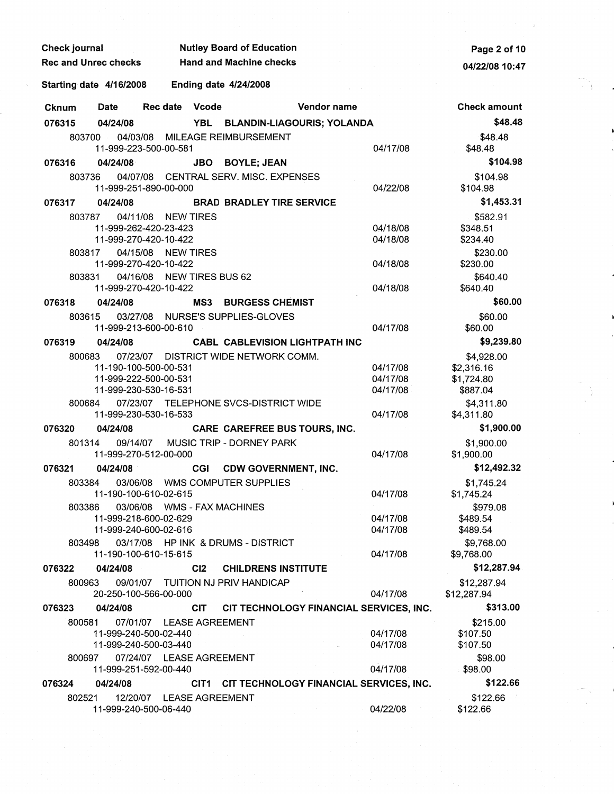| Check journal               |                                                | <b>Nutley Board of Education</b> | Page 2 of 10                   |                                              |                |          |                            |
|-----------------------------|------------------------------------------------|----------------------------------|--------------------------------|----------------------------------------------|----------------|----------|----------------------------|
| <b>Rec and Unrec checks</b> |                                                |                                  | <b>Hand and Machine checks</b> |                                              | 04/22/08 10:47 |          |                            |
| Starting date 4/16/2008     |                                                |                                  |                                | <b>Ending date 4/24/2008</b>                 |                |          |                            |
| <b>Cknum</b>                | Date                                           | Rec date Vcode                   |                                |                                              | Vendor name    |          | <b>Check amount</b>        |
| 076315                      | 04/24/08                                       |                                  |                                | YBL BLANDIN-LIAGOURIS; YOLANDA               |                |          | \$48.48                    |
| 803700                      |                                                |                                  |                                | 04/03/08 MILEAGE REIMBURSEMENT               |                |          | \$48.48                    |
|                             | 11-999-223-500-00-581                          |                                  |                                |                                              |                | 04/17/08 | \$48.48                    |
| 076316                      | 04/24/08                                       |                                  | <b>JBO</b>                     | <b>BOYLE; JEAN</b>                           |                |          | \$104.98                   |
| 803736                      | 11-999-251-890-00-000                          |                                  |                                | 04/07/08 CENTRAL SERV. MISC. EXPENSES        |                | 04/22/08 | \$104.98<br>\$104.98       |
| 076317                      | 04/24/08                                       |                                  |                                | <b>BRAD BRADLEY TIRE SERVICE</b>             |                |          | \$1,453.31                 |
| 803787                      |                                                | 04/11/08 NEW TIRES               |                                |                                              |                |          | \$582.91                   |
|                             | 11-999-262-420-23-423                          |                                  |                                |                                              |                | 04/18/08 | \$348.51                   |
|                             | 11-999-270-420-10-422                          |                                  |                                |                                              |                | 04/18/08 | \$234.40                   |
| 803817                      | 04/15/08                                       | <b>NEW TIRES</b>                 |                                |                                              |                |          | \$230.00                   |
|                             | 11-999-270-420-10-422                          |                                  |                                |                                              |                | 04/18/08 | \$230.00                   |
| 803831                      | 04/16/08<br>11-999-270-420-10-422              | <b>NEW TIRES BUS 62</b>          |                                |                                              |                | 04/18/08 | \$640.40<br>\$640.40       |
| 076318                      | 04/24/08                                       |                                  | MS3                            | <b>BURGESS CHEMIST</b>                       |                |          | \$60.00                    |
| 803615                      |                                                |                                  |                                | 03/27/08 NURSE'S SUPPLIES-GLOVES             |                |          | \$60.00                    |
|                             | 11-999-213-600-00-610                          |                                  |                                |                                              |                | 04/17/08 | \$60.00                    |
| 076319                      | 04/24/08                                       |                                  |                                | <b>CABL CABLEVISION LIGHTPATH INC</b>        |                |          | \$9,239.80                 |
| 800683                      |                                                |                                  |                                | 07/23/07 DISTRICT WIDE NETWORK COMM.         |                |          | \$4,928.00                 |
|                             | 11-190-100-500-00-531                          |                                  |                                |                                              |                | 04/17/08 | \$2,316.16                 |
|                             | 11-999-222-500-00-531                          |                                  |                                |                                              |                | 04/17/08 | \$1,724.80                 |
|                             | 11-999-230-530-16-531                          |                                  |                                |                                              |                | 04/17/08 | \$887.04                   |
| 800684                      | 07/23/07<br>11-999-230-530-16-533              |                                  |                                | TELEPHONE SVCS-DISTRICT WIDE                 |                | 04/17/08 | \$4,311.80                 |
| 076320                      | 04/24/08                                       |                                  |                                | CARE CAREFREE BUS TOURS, INC.                |                |          | \$4,311.80<br>\$1,900.00   |
| 801314                      | 09/14/07                                       |                                  |                                | MUSIC TRIP - DORNEY PARK                     |                |          | \$1,900.00                 |
|                             | 11-999-270-512-00-000                          |                                  |                                |                                              |                | 04/17/08 | \$1,900.00                 |
| 076321                      | 04/24/08                                       |                                  | <b>CGI</b>                     | <b>CDW GOVERNMENT, INC.</b>                  |                |          | \$12,492.32                |
| 803384                      |                                                |                                  |                                | 03/06/08 WMS COMPUTER SUPPLIES               |                |          | \$1,745.24                 |
|                             | 11-190-100-610-02-615                          |                                  |                                |                                              |                | 04/17/08 | \$1,745.24                 |
| 803386                      |                                                |                                  |                                | 03/06/08 WMS - FAX MACHINES                  |                | 04/17/08 | \$979.08                   |
|                             | 11-999-218-600-02-629<br>11-999-240-600-02-616 |                                  |                                |                                              |                | 04/17/08 | \$489.54<br>\$489.54       |
| 803498                      |                                                |                                  |                                | 03/17/08 HP INK & DRUMS - DISTRICT           |                |          | \$9,768.00                 |
|                             | 11-190-100-610-15-615                          |                                  |                                |                                              |                | 04/17/08 | \$9,768.00                 |
| 076322                      | 04/24/08                                       |                                  | C <sub>12</sub>                | <b>CHILDRENS INSTITUTE</b>                   |                |          | \$12,287.94                |
| 800963                      | 20-250-100-566-00-000                          |                                  |                                | 09/01/07 TUITION NJ PRIV HANDICAP            |                | 04/17/08 | \$12,287.94<br>\$12,287.94 |
| 076323                      | 04/24/08                                       |                                  | <b>CIT</b>                     | CIT TECHNOLOGY FINANCIAL SERVICES, INC.      |                |          | \$313.00                   |
| 800581                      |                                                | 07/01/07 LEASE AGREEMENT         |                                |                                              |                |          | \$215.00                   |
|                             | 11-999-240-500-02-440                          |                                  |                                |                                              |                | 04/17/08 | \$107.50                   |
|                             | 11-999-240-500-03-440                          |                                  |                                |                                              |                | 04/17/08 | \$107.50                   |
| 800697                      |                                                | 07/24/07 LEASE AGREEMENT         |                                |                                              |                |          | \$98.00                    |
|                             | 11-999-251-592-00-440                          |                                  |                                |                                              |                | 04/17/08 | \$98.00                    |
| 076324                      | 04/24/08                                       |                                  |                                | CIT1 CIT TECHNOLOGY FINANCIAL SERVICES, INC. |                |          | \$122.66                   |
| 802521                      | 11-999-240-500-06-440                          | 12/20/07 LEASE AGREEMENT         |                                |                                              |                | 04/22/08 | \$122.66<br>\$122.66       |

 $\frac{1}{2} \frac{1}{2} \frac{1}{2} \frac{1}{2}$ 

 $\mathcal{A}_{\mathcal{A}}$ 

 $\gamma$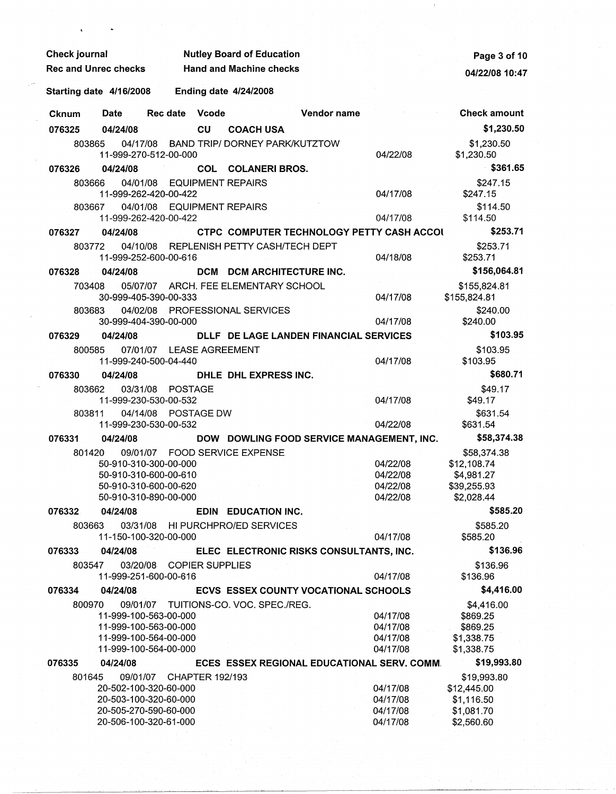| <b>Check journal</b>        |                                                                                                  |          |                              |                          | <b>Nutley Board of Education</b>        |                                             | Page 3 of 10                                 |                                                                |
|-----------------------------|--------------------------------------------------------------------------------------------------|----------|------------------------------|--------------------------|-----------------------------------------|---------------------------------------------|----------------------------------------------|----------------------------------------------------------------|
| <b>Rec and Unrec checks</b> |                                                                                                  |          |                              |                          | <b>Hand and Machine checks</b>          |                                             | 04/22/08 10:47                               |                                                                |
| Starting date 4/16/2008     |                                                                                                  |          | <b>Ending date 4/24/2008</b> |                          |                                         |                                             |                                              |                                                                |
| <b>Cknum</b>                | <b>Date</b>                                                                                      | Rec date |                              | Vcode                    |                                         | Vendor name                                 |                                              | <b>Check amount</b>                                            |
| 076325                      | 04/24/08                                                                                         |          |                              | <b>CU</b>                | <b>COACH USA</b>                        |                                             |                                              | \$1,230.50                                                     |
| 803865                      | 11-999-270-512-00-000                                                                            |          |                              |                          | 04/17/08 BAND TRIP/ DORNEY PARK/KUTZTOW |                                             | 04/22/08                                     | \$1,230.50<br>\$1,230.50                                       |
| 076326                      | 04/24/08                                                                                         |          |                              |                          | <b>COL COLANERI BROS.</b>               |                                             |                                              | \$361.65                                                       |
| 803666                      | 11-999-262-420-00-422                                                                            | 04/01/08 |                              |                          | <b>EQUIPMENT REPAIRS</b>                |                                             | 04/17/08                                     | \$247.15<br>\$247.15                                           |
| 803667                      | 11-999-262-420-00-422                                                                            | 04/01/08 |                              |                          | <b>EQUIPMENT REPAIRS</b>                |                                             | 04/17/08                                     | \$114.50<br>\$114.50                                           |
| 076327                      | 04/24/08                                                                                         |          |                              |                          |                                         | CTPC COMPUTER TECHNOLOGY PETTY CASH ACCOL   |                                              | \$253.71                                                       |
| 803772                      | 11-999-252-600-00-616                                                                            |          |                              |                          | 04/10/08 REPLENISH PETTY CASH/TECH DEPT |                                             | 04/18/08                                     | \$253.71<br>\$253.71                                           |
| 076328                      | 04/24/08                                                                                         |          |                              |                          | DCM DCM ARCHITECTURE INC.               |                                             |                                              | \$156,064.81                                                   |
| 703408                      | 30-999-405-390-00-333                                                                            |          |                              |                          | 05/07/07 ARCH. FEE ELEMENTARY SCHOOL    |                                             | 04/17/08                                     | \$155,824.81<br>\$155,824.81                                   |
| 803683                      | 04/02/08                                                                                         |          |                              |                          | PROFESSIONAL SERVICES                   |                                             |                                              | \$240.00                                                       |
|                             | 30-999-404-390-00-000                                                                            |          |                              |                          |                                         |                                             | 04/17/08                                     | \$240.00                                                       |
| 076329                      | 04/24/08                                                                                         |          |                              |                          |                                         | DLLF DE LAGE LANDEN FINANCIAL SERVICES      |                                              | \$103.95                                                       |
| 800585                      | 11-999-240-500-04-440                                                                            |          |                              |                          | 07/01/07 LEASE AGREEMENT                |                                             | 04/17/08                                     | \$103.95<br>\$103.95                                           |
| 076330                      | 04/24/08                                                                                         |          |                              |                          | DHLE DHL EXPRESS INC.                   |                                             |                                              | \$680.71                                                       |
| 803662                      | 03/31/08                                                                                         |          | POSTAGE                      |                          |                                         |                                             |                                              | \$49.17                                                        |
| 803811                      | 11-999-230-530-00-532<br>04/14/08                                                                |          |                              | <b>POSTAGE DW</b>        |                                         |                                             | 04/17/08                                     | \$49.17<br>\$631.54                                            |
|                             | 11-999-230-530-00-532                                                                            |          |                              |                          |                                         |                                             | 04/22/08                                     | \$631.54                                                       |
| 076331                      | 04/24/08                                                                                         |          |                              |                          |                                         | DOW DOWLING FOOD SERVICE MANAGEMENT, INC.   |                                              | \$58,374.38                                                    |
| 801420                      |                                                                                                  |          |                              |                          | 09/01/07 FOOD SERVICE EXPENSE           |                                             |                                              | \$58,374.38                                                    |
|                             | 50-910-310-300-00-000<br>50-910-310-600-00-610<br>50-910-310-600-00-620<br>50-910-310-890-00-000 |          |                              |                          |                                         |                                             | 04/22/08<br>04/22/08<br>04/22/08<br>04/22/08 | \$12,108.74<br>\$4,981.27<br>\$39,255.93<br>\$2,028.44         |
| 076332                      | 04/24/08                                                                                         |          |                              |                          | EDIN EDUCATION INC.                     |                                             |                                              | \$585.20                                                       |
| 803663                      | 11-150-100-320-00-000                                                                            |          |                              |                          | 03/31/08 HI PURCHPRO/ED SERVICES        |                                             | 04/17/08                                     | \$585.20<br>\$585.20                                           |
| 076333                      | 04/24/08                                                                                         |          |                              |                          |                                         | ELEC ELECTRONIC RISKS CONSULTANTS, INC.     |                                              | \$136.96                                                       |
| 803547                      | 03/20/08<br>11-999-251-600-00-616                                                                |          |                              | <b>COPIER SUPPLIES</b>   |                                         |                                             | 04/17/08                                     | \$136.96<br>\$136.96                                           |
| 076334                      | 04/24/08                                                                                         |          |                              |                          |                                         | <b>ECVS ESSEX COUNTY VOCATIONAL SCHOOLS</b> |                                              | \$4,416.00                                                     |
| 800970                      | 11-999-100-563-00-000<br>11-999-100-563-00-000<br>11-999-100-564-00-000<br>11-999-100-564-00-000 | 09/01/07 |                              |                          | TUITIONS-CO. VOC. SPEC./REG.            |                                             | 04/17/08<br>04/17/08<br>04/17/08<br>04/17/08 | \$4,416.00<br>\$869.25<br>\$869.25<br>\$1,338.75<br>\$1,338.75 |
| 076335                      | 04/24/08                                                                                         |          |                              |                          |                                         | ECES ESSEX REGIONAL EDUCATIONAL SERV. COMM. |                                              | \$19,993.80                                                    |
| 801645                      |                                                                                                  |          |                              | 09/01/07 CHAPTER 192/193 |                                         |                                             |                                              | \$19,993.80                                                    |
|                             | 20-502-100-320-60-000<br>20-503-100-320-60-000<br>20-505-270-590-60-000<br>20-506-100-320-61-000 |          |                              |                          |                                         |                                             | 04/17/08<br>04/17/08<br>04/17/08<br>04/17/08 | \$12,445.00<br>\$1,116.50<br>\$1,081.70<br>\$2,560.60          |

 $\hat{\mathbf{r}}$ 

 $\sim 10^{-1}$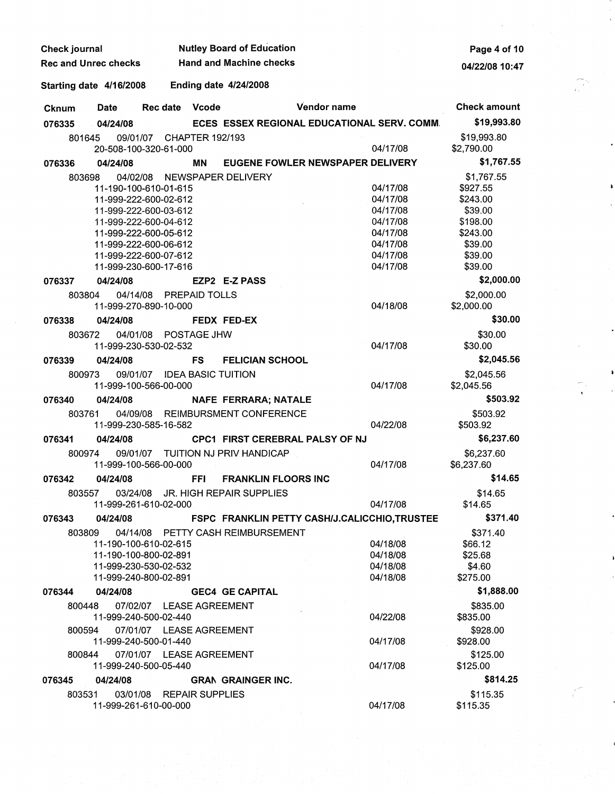| <b>Check journal</b>        |                    | <b>Nutley Board of Education</b>                                                                 | Page 4 of 10                 |                                               |                                              |                                                           |
|-----------------------------|--------------------|--------------------------------------------------------------------------------------------------|------------------------------|-----------------------------------------------|----------------------------------------------|-----------------------------------------------------------|
| <b>Rec and Unrec checks</b> |                    |                                                                                                  |                              | <b>Hand and Machine checks</b>                |                                              | 04/22/08 10:47                                            |
| Starting date 4/16/2008     |                    |                                                                                                  | <b>Ending date 4/24/2008</b> |                                               |                                              |                                                           |
| <b>Cknum</b>                | <b>Date</b>        | <b>Rec date</b>                                                                                  | Vcode                        | Vendor name                                   |                                              | <b>Check amount</b>                                       |
| 076335                      | 04/24/08           |                                                                                                  |                              | ECES ESSEX REGIONAL EDUCATIONAL SERV. COMM.   |                                              | \$19,993.80                                               |
|                             | 801645             | 09/01/07<br>20-508-100-320-61-000                                                                | <b>CHAPTER 192/193</b>       |                                               | 04/17/08                                     | \$19,993.80<br>\$2,790.00                                 |
| 076336                      | 04/24/08           |                                                                                                  | MΝ                           | EUGENE FOWLER NEWSPAPER DELIVERY              |                                              | \$1,767.55                                                |
|                             | 04/02/08<br>803698 | 11-190-100-610-01-615<br>11-999-222-600-02-612<br>11-999-222-600-03-612<br>11-999-222-600-04-612 |                              | NEWSPAPER DELIVERY                            | 04/17/08<br>04/17/08<br>04/17/08<br>04/17/08 | \$1,767.55<br>\$927.55<br>\$243.00<br>\$39.00<br>\$198.00 |
|                             |                    | 11-999-222-600-05-612<br>11-999-222-600-06-612<br>11-999-222-600-07-612<br>11-999-230-600-17-616 |                              |                                               | 04/17/08<br>04/17/08<br>04/17/08<br>04/17/08 | \$243.00<br>\$39.00<br>\$39.00<br>\$39.00                 |
| 076337                      | 04/24/08           |                                                                                                  |                              | EZP2 E-Z PASS                                 |                                              | \$2,000.00                                                |
|                             | 803804             | 04/14/08 PREPAID TOLLS<br>11-999-270-890-10-000                                                  |                              |                                               | 04/18/08                                     | \$2,000.00<br>\$2,000.00                                  |
| 076338                      | 04/24/08           |                                                                                                  |                              | FEDX FED-EX                                   |                                              | \$30.00                                                   |
|                             | 803672             | 04/01/08 POSTAGE JHW<br>11-999-230-530-02-532                                                    |                              |                                               | 04/17/08                                     | \$30.00<br>\$30.00                                        |
| 076339                      | 04/24/08           |                                                                                                  | <b>FS</b>                    | <b>FELICIAN SCHOOL</b>                        |                                              | \$2,045.56                                                |
|                             | 800973             | 09/01/07 IDEA BASIC TUITION<br>11-999-100-566-00-000                                             |                              |                                               | 04/17/08                                     | \$2,045.56<br>\$2,045.56                                  |
| 076340                      | 04/24/08           |                                                                                                  |                              | NAFE FERRARA; NATALE                          |                                              | \$503.92                                                  |
|                             | 803761             | 11-999-230-585-16-582                                                                            |                              | 04/09/08 REIMBURSMENT CONFERENCE              | 04/22/08                                     | \$503.92<br>\$503.92                                      |
| 076341                      | 04/24/08           |                                                                                                  |                              | <b>CPC1 FIRST CEREBRAL PALSY OF NJ</b>        |                                              | \$6,237.60                                                |
|                             | 800974             | 11-999-100-566-00-000                                                                            |                              | 09/01/07 TUITION NJ PRIV HANDICAP             | 04/17/08                                     | \$6,237.60<br>\$6,237.60                                  |
| 076342                      | 04/24/08           |                                                                                                  | <b>FFI</b>                   | <b>FRANKLIN FLOORS INC</b>                    |                                              | \$14.65                                                   |
|                             |                    | 11-999-261-610-02-000                                                                            |                              | 803557 03/24/08 JR. HIGH REPAIR SUPPLIES      | 04/17/08                                     | \$14.65<br>\$14.65                                        |
| 076343                      | 04/24/08           |                                                                                                  |                              | FSPC FRANKLIN PETTY CASH/J.CALICCHIO, TRUSTEE |                                              | \$371.40                                                  |
|                             | 803809             | 11-190-100-610-02-615<br>11-190-100-800-02-891<br>11-999-230-530-02-532<br>11-999-240-800-02-891 |                              | 04/14/08 PETTY CASH REIMBURSEMENT             | 04/18/08<br>04/18/08<br>04/18/08<br>04/18/08 | \$371.40<br>\$66.12<br>\$25.68<br>\$4.60<br>\$275.00      |
| 076344                      | 04/24/08           |                                                                                                  |                              | <b>GEC4 GE CAPITAL</b>                        |                                              | \$1,888.00                                                |
|                             | 800448<br>800594   | 07/02/07 LEASE AGREEMENT<br>11-999-240-500-02-440<br>07/01/07 LEASE AGREEMENT                    |                              |                                               | 04/22/08                                     | \$835.00<br>\$835.00<br>\$928.00                          |
|                             | 800844             | 11-999-240-500-01-440<br>07/01/07 LEASE AGREEMENT                                                |                              |                                               | 04/17/08                                     | \$928.00<br>\$125.00                                      |
|                             |                    | 11-999-240-500-05-440                                                                            |                              |                                               | 04/17/08                                     | \$125.00                                                  |
| 076345                      | 04/24/08           |                                                                                                  |                              | <b>GRAN GRAINGER INC.</b>                     |                                              | \$814.25                                                  |
|                             | 803531             | 03/01/08 REPAIR SUPPLIES<br>11-999-261-610-00-000                                                |                              |                                               | 04/17/08                                     | \$115.35<br>\$115.35                                      |

 $\begin{array}{c} \begin{array}{c} \begin{array}{c} \begin{array}{c} \begin{array}{c} \end{array}\\ \begin{array}{c} \end{array} \end{array} \end{array} \end{array} \end{array}$ 

 $\mathcal{E}_{\mathbb{R}}$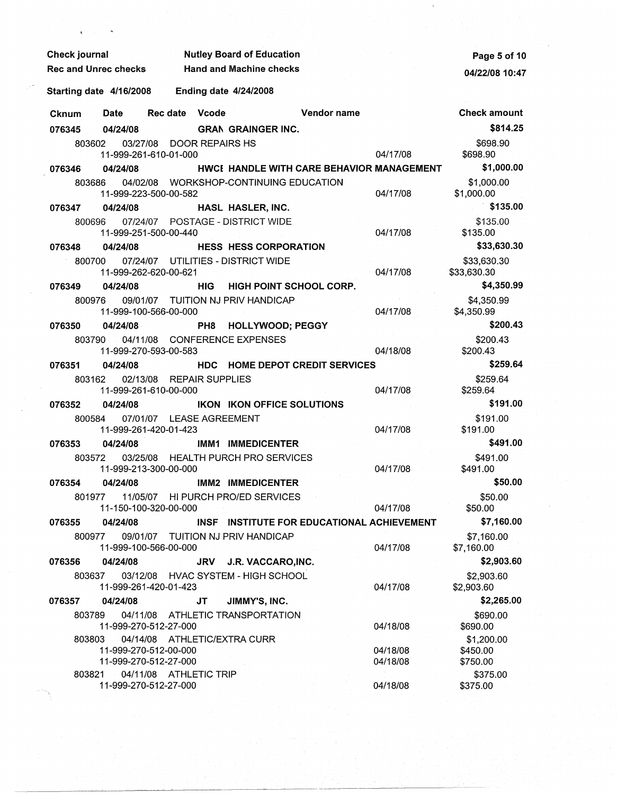| <b>Check journal</b><br>$\mathcal{L}^{\text{max}}_{\text{max}}$ and $\mathcal{L}^{\text{max}}_{\text{max}}$ |                                           | <b>Nutley Board of Education</b>           |                      | Page 5 of 10               |
|-------------------------------------------------------------------------------------------------------------|-------------------------------------------|--------------------------------------------|----------------------|----------------------------|
| <b>Rec and Unrec checks</b>                                                                                 | <b>Example 21 Hand and Machine checks</b> |                                            |                      | 04/22/08 10:47             |
| Starting date 4/16/2008                                                                                     | <b>Ending date 4/24/2008</b>              |                                            |                      |                            |
| <b>Date</b><br>Cknum                                                                                        | Rec date Vcode                            | <b>Example 12 Vendor name</b>              |                      | <b>Check amount</b>        |
| 04/24/08<br>076345                                                                                          |                                           | <b>GRAN GRAINGER INC.</b>                  |                      | \$814.25                   |
| 803602                                                                                                      | 03/27/08 DOOR REPAIRS HS                  |                                            |                      | \$698.90                   |
| 11-999-261-610-01-000                                                                                       |                                           |                                            | 04/17/08             | \$698.90                   |
| 076346<br>04/24/08                                                                                          |                                           | HWCI HANDLE WITH CARE BEHAVIOR MANAGEMENT  |                      | \$1,000.00                 |
| 803686<br>11-999-223-500-00-582                                                                             |                                           | 04/02/08 WORKSHOP-CONTINUING EDUCATION     | 04/17/08             | \$1,000.00<br>\$1,000.00   |
| 04/24/08<br>076347                                                                                          |                                           | HASL HASLER, INC.                          |                      | \$135.00                   |
| 800696<br>11-999-251-500-00-440                                                                             | 07/24/07 POSTAGE - DISTRICT WIDE          |                                            | 04/17/08             | \$135.00<br>\$135.00       |
| 04/24/08<br>076348                                                                                          |                                           | <b>HESS HESS CORPORATION</b>               |                      | \$33,630.30                |
| 800700<br>11-999-262-620-00-621                                                                             | 07/24/07 UTILITIES - DISTRICT WIDE        |                                            | 04/17/08             | \$33,630.30<br>\$33,630.30 |
| 04/24/08<br>076349                                                                                          | <b>HIG</b>                                | <b>HIGH POINT SCHOOL CORP.</b>             |                      | \$4,350.99                 |
| 800976<br>11-999-100-566-00-000                                                                             | 09/01/07 TUITION NJ PRIV HANDICAP         |                                            | 04/17/08             | \$4,350.99<br>\$4,350.99   |
| 076350<br>04/24/08                                                                                          | PH <sub>8</sub>                           | <b>HOLLYWOOD; PEGGY</b>                    |                      | \$200.43                   |
| 803790<br>11-999-270-593-00-583                                                                             | 04/11/08 CONFERENCE EXPENSES              |                                            | 04/18/08             | \$200.43<br>\$200.43       |
| 04/24/08<br>076351                                                                                          |                                           | <b>HDC HOME DEPOT CREDIT SERVICES</b>      |                      | \$259.64                   |
| 803162<br>11-999-261-610-00-000                                                                             | 02/13/08 REPAIR SUPPLIES                  |                                            | 04/17/08             | \$259.64<br>\$259.64       |
| 04/24/08<br>076352                                                                                          |                                           | IKON IKON OFFICE SOLUTIONS                 |                      | \$191.00                   |
| 800584<br>11-999-261-420-01-423                                                                             | 07/01/07 LEASE AGREEMENT                  |                                            | 04/17/08             | \$191.00<br>\$191.00       |
| 04/24/08<br>076353                                                                                          |                                           | IMM1 IMMEDICENTER                          |                      | \$491.00                   |
| 803572<br>11-999-213-300-00-000                                                                             |                                           | 03/25/08 HEALTH PURCH PRO SERVICES         | 04/17/08             | \$491.00<br>\$491.00       |
| 04/24/08<br>076354                                                                                          |                                           | IMM2 IMMEDICENTER                          |                      | \$50.00                    |
| 801977<br>11-150-100-320-00-000                                                                             | 11/05/07 HI PURCH PRO/ED SERVICES         |                                            | 04/17/08             | \$50.00<br>\$50.00         |
| 076355<br>04/24/08                                                                                          |                                           | INSF INSTITUTE FOR EDUCATIONAL ACHIEVEMENT |                      | \$7,160.00                 |
| 800977 09/01/07 TUITION NJ PRIV HANDICAP<br>11-999-100-566-00-000                                           |                                           |                                            | 04/17/08             | \$7,160.00<br>\$7,160.00   |
| 04/24/08<br>076356                                                                                          |                                           | JRV J.R. VACCARO, INC.                     |                      | \$2,903.60                 |
| 803637<br>11-999-261-420-01-423                                                                             |                                           | 03/12/08 HVAC SYSTEM - HIGH SCHOOL         | 04/17/08             | \$2,903.60<br>\$2,903.60   |
| 04/24/08<br>076357                                                                                          | JT .                                      | JIMMY'S, INC.                              |                      | \$2,265.00                 |
| 803789<br>11-999-270-512-27-000                                                                             | 04/11/08 ATHLETIC TRANSPORTATION          |                                            | 04/18/08             | \$690.00<br>\$690.00       |
| 803803                                                                                                      | 04/14/08 ATHLETIC/EXTRA CURR              |                                            |                      | \$1,200.00                 |
| 11-999-270-512-00-000<br>11-999-270-512-27-000                                                              |                                           |                                            | 04/18/08<br>04/18/08 | \$450.00<br>\$750.00       |
| 803821<br>11-999-270-512-27-000                                                                             | 04/11/08 ATHLETIC TRIP                    |                                            | 04/18/08             | \$375.00<br>\$375.00       |

 $\mathbf{v}$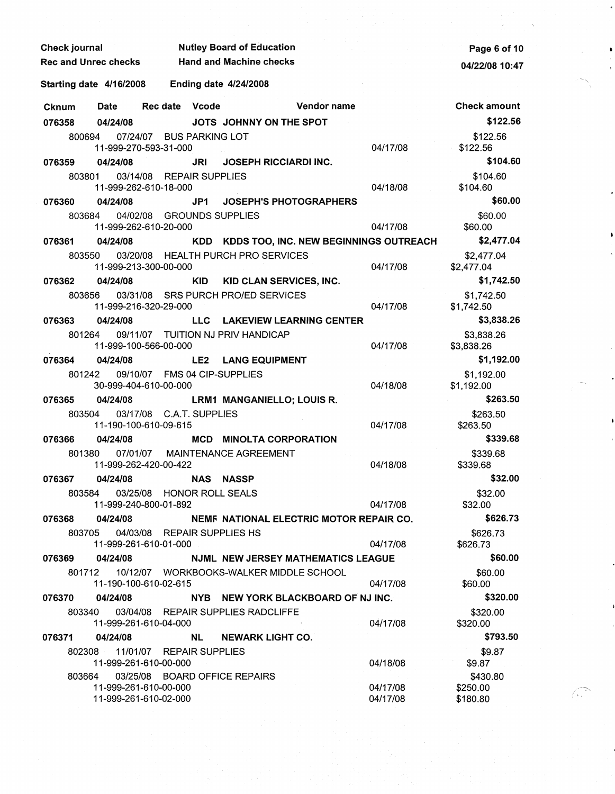| Check journal               |                                                               |                                                       |            | <b>Nutley Board of Education</b>                 |             |                      | Page 6 of 10                     |
|-----------------------------|---------------------------------------------------------------|-------------------------------------------------------|------------|--------------------------------------------------|-------------|----------------------|----------------------------------|
| <b>Rec and Unrec checks</b> |                                                               |                                                       |            | <b>Hand and Machine checks</b>                   |             |                      | 04/22/08 10:47                   |
| Starting date 4/16/2008     |                                                               |                                                       |            | <b>Ending date 4/24/2008</b>                     |             |                      |                                  |
| <b>Cknum</b>                | Date                                                          | <b>Rec date</b>                                       | Vcode      |                                                  | Vendor name |                      | <b>Check amount</b>              |
| 076358                      | 04/24/08                                                      |                                                       |            | JOTS JOHNNY ON THE SPOT                          |             |                      | \$122.56                         |
| 800694                      |                                                               | 07/24/07 BUS PARKING LOT<br>11-999-270-593-31-000     |            |                                                  |             | 04/17/08             | \$122.56<br>\$122.56             |
| 076359                      | 04/24/08                                                      |                                                       | JRI        | <b>JOSEPH RICCIARDI INC.</b>                     |             |                      | \$104.60                         |
| 803801                      |                                                               | 03/14/08 REPAIR SUPPLIES<br>11-999-262-610-18-000     |            |                                                  |             | 04/18/08             | \$104.60<br>\$104.60             |
| 076360                      | 04/24/08                                                      |                                                       | JP1        | <b>JOSEPH'S PHOTOGRAPHERS</b>                    |             |                      | \$60.00                          |
| 803684                      |                                                               | 04/02/08 GROUNDS SUPPLIES<br>11-999-262-610-20-000    |            |                                                  |             | 04/17/08             | \$60.00<br>\$60.00               |
| 076361                      | 04/24/08                                                      |                                                       |            | KDD KDDS TOO, INC. NEW BEGINNINGS OUTREACH       |             |                      | \$2,477.04                       |
| 803550                      |                                                               | 11-999-213-300-00-000                                 |            | 03/20/08 HEALTH PURCH PRO SERVICES               |             | 04/17/08             | \$2,477.04<br>\$2,477.04         |
| 076362                      | 04/24/08                                                      |                                                       | <b>KID</b> | KID CLAN SERVICES, INC.                          |             |                      | \$1,742.50                       |
| 803656                      | 03/31/08                                                      | 11-999-216-320-29-000                                 |            | SRS PURCH PRO/ED SERVICES                        |             | 04/17/08             | \$1,742.50<br>\$1,742.50         |
| 076363                      | 04/24/08                                                      |                                                       | LLC.       | <b>LAKEVIEW LEARNING CENTER</b>                  |             |                      | \$3,838.26                       |
| 801264                      |                                                               | 11-999-100-566-00-000                                 |            | 09/11/07 TUITION NJ PRIV HANDICAP                |             | 04/17/08             | \$3,838.26<br>\$3,838.26         |
| 076364                      | 04/24/08                                                      |                                                       | LE2        | <b>LANG EQUIPMENT</b>                            |             |                      | \$1,192.00                       |
| 801242                      |                                                               | 09/10/07 FMS 04 CIP-SUPPLIES<br>30-999-404-610-00-000 |            |                                                  |             | 04/18/08             | \$1,192.00<br>\$1,192.00         |
| 076365                      | 04/24/08                                                      |                                                       |            | LRM1 MANGANIELLO; LOUIS R.                       |             |                      | \$263.50                         |
| 803504                      |                                                               | 03/17/08 C.A.T. SUPPLIES<br>11-190-100-610-09-615     |            |                                                  |             | 04/17/08             | \$263.50<br>\$263.50             |
| 076366                      | 04/24/08                                                      |                                                       |            | <b>MCD MINOLTA CORPORATION</b>                   |             |                      | \$339.68                         |
|                             | 11-999-262-420-00-422                                         |                                                       |            | 801380 07/01/07 MAINTENANCE AGREEMENT            |             | 04/18/08             | \$339.68<br>\$339.68             |
| 076367 04/24/08             |                                                               |                                                       |            | NAS NASSP                                        |             |                      | \$32.00                          |
|                             | 803584 03/25/08 HONOR ROLL SEALS<br>11-999-240-800-01-892     |                                                       |            |                                                  |             | 04/17/08             | \$32.00<br>\$32.00               |
| 076368                      |                                                               |                                                       |            | 04/24/08 NEMF NATIONAL ELECTRIC MOTOR REPAIR CO. |             |                      | \$626.73                         |
|                             | 803705  04/03/08  REPAIR SUPPLIES HS<br>11-999-261-610-01-000 |                                                       |            |                                                  |             | 04/17/08             | \$626.73<br>\$626.73             |
| 076369 04/24/08             |                                                               |                                                       |            | <b>NJML NEW JERSEY MATHEMATICS LEAGUE</b>        |             |                      | \$60.00                          |
|                             | 11-190-100-610-02-615                                         |                                                       |            | 801712 10/12/07 WORKBOOKS-WALKER MIDDLE SCHOOL   |             | 04/17/08             | \$60.00<br>\$60.00               |
| 076370                      | 04/24/08                                                      |                                                       |            | NYB NEW YORK BLACKBOARD OF NJ INC.               |             |                      | \$320.00                         |
|                             | 11-999-261-610-04-000                                         |                                                       |            | 803340 03/04/08 REPAIR SUPPLIES RADCLIFFE        |             | 04/17/08             | \$320.00<br>\$320.00             |
| 076371                      | 04/24/08                                                      |                                                       |            | NL NEWARK LIGHT CO.                              |             |                      | \$793.50                         |
|                             | 802308 11/01/07 REPAIR SUPPLIES<br>11-999-261-610-00-000      |                                                       |            |                                                  |             | 04/18/08             | \$9.87<br>\$9.87                 |
|                             | 11-999-261-610-00-000<br>11-999-261-610-02-000                |                                                       |            | 803664 03/25/08 BOARD OFFICE REPAIRS             |             | 04/17/08<br>04/17/08 | \$430.80<br>\$250.00<br>\$180.80 |

 $\sim$   $\lambda$ 

G.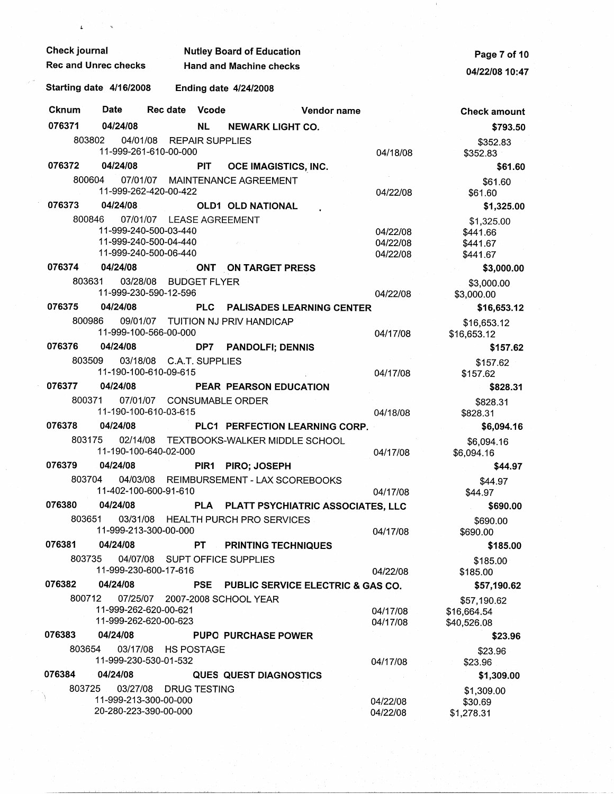| Check journal    |                         |                                                                                                     |                  | <b>Nutley Board of Education</b>        | Page 7 of 10 |                                  |                                                |
|------------------|-------------------------|-----------------------------------------------------------------------------------------------------|------------------|-----------------------------------------|--------------|----------------------------------|------------------------------------------------|
|                  | Rec and Unrec checks    |                                                                                                     |                  | <b>Hand and Machine checks</b>          |              | 04/22/08 10:47                   |                                                |
|                  | Starting date 4/16/2008 |                                                                                                     |                  | <b>Ending date 4/24/2008</b>            |              |                                  |                                                |
| <b>Cknum</b>     | Date                    | Rec date                                                                                            | <b>Vcode</b>     |                                         | Vendor name  |                                  | <b>Check amount</b>                            |
| 076371           | 04/24/08                |                                                                                                     | <b>NL</b>        | <b>NEWARK LIGHT CO.</b>                 |              |                                  | \$793.50                                       |
| 803802           |                         | 04/01/08 REPAIR SUPPLIES<br>11-999-261-610-00-000                                                   |                  |                                         |              | 04/18/08                         | \$352.83<br>\$352.83                           |
| 076372           | 04/24/08                |                                                                                                     | <b>PIT</b>       | OCE IMAGISTICS, INC.                    |              |                                  | \$61.60                                        |
| 800604           |                         |                                                                                                     |                  | 07/01/07 MAINTENANCE AGREEMENT          |              |                                  | \$61.60                                        |
|                  |                         | 11-999-262-420-00-422                                                                               |                  |                                         |              | 04/22/08                         | \$61.60                                        |
| 076373<br>800846 | 04/24/08                |                                                                                                     |                  | <b>OLD1 OLD NATIONAL</b>                |              |                                  | \$1,325.00                                     |
|                  |                         | 07/01/07 LEASE AGREEMENT<br>11-999-240-500-03-440<br>11-999-240-500-04-440<br>11-999-240-500-06-440 |                  |                                         |              | 04/22/08<br>04/22/08<br>04/22/08 | \$1,325.00<br>\$441.66<br>\$441.67<br>\$441.67 |
| 076374           | 04/24/08                |                                                                                                     |                  | ONT ON TARGET PRESS                     |              |                                  | \$3,000.00                                     |
| 803631           |                         | 03/28/08 BUDGET FLYER<br>11-999-230-590-12-596                                                      |                  |                                         |              | 04/22/08                         | \$3,000.00<br>\$3,000.00                       |
| 076375           | 04/24/08                |                                                                                                     | <b>PLC</b>       | <b>PALISADES LEARNING CENTER</b>        |              |                                  | \$16,653.12                                    |
| 800986           |                         | 11-999-100-566-00-000                                                                               |                  | 09/01/07 TUITION NJ PRIV HANDICAP       |              | 04/17/08                         | \$16,653.12<br>\$16,653.12                     |
| 076376           | 04/24/08                |                                                                                                     | DP7              | <b>PANDOLFI; DENNIS</b>                 |              |                                  | \$157.62                                       |
| 803509           |                         | 03/18/08 C.A.T. SUPPLIES<br>11-190-100-610-09-615                                                   |                  |                                         |              | 04/17/08                         | \$157.62<br>\$157.62                           |
| 076377           | 04/24/08                |                                                                                                     |                  | <b>PEAR PEARSON EDUCATION</b>           |              |                                  | \$828.31                                       |
| 800371           |                         | 07/01/07 CONSUMABLE ORDER<br>11-190-100-610-03-615                                                  |                  |                                         |              | 04/18/08                         | \$828.31<br>\$828.31                           |
| 076378           | 04/24/08                |                                                                                                     |                  | PLC1 PERFECTION LEARNING CORP.          |              |                                  | \$6,094.16                                     |
| 803175           | 02/14/08                | 11-190-100-640-02-000                                                                               |                  | TEXTBOOKS-WALKER MIDDLE SCHOOL          |              | 04/17/08                         | \$6,094.16<br>\$6,094.16                       |
| 076379           | 04/24/08                |                                                                                                     | PIR <sub>1</sub> | <b>PIRO; JOSEPH</b>                     |              |                                  | \$44.97                                        |
| 803704           |                         | 11-402-100-600-91-610                                                                               |                  | 04/03/08 REIMBURSEMENT - LAX SCOREBOOKS |              | 04/17/08                         | \$44.97<br>\$44.97                             |
| 076380           | 04/24/08                |                                                                                                     |                  | PLA PLATT PSYCHIATRIC ASSOCIATES, LLC   |              |                                  | \$690.00                                       |
|                  | 803651                  | 11-999-213-300-00-000                                                                               |                  | 03/31/08 HEALTH PURCH PRO SERVICES      |              | 04/17/08                         | \$690.00<br>\$690.00                           |
| 076381           | 04/24/08                |                                                                                                     | PT -             | <b>PRINTING TECHNIQUES</b>              |              |                                  | \$185.00                                       |
| 803735           |                         | 11-999-230-600-17-616                                                                               |                  | 04/07/08 SUPT OFFICE SUPPLIES           |              | 04/22/08                         | \$185.00<br>\$185.00                           |
| 076382           | 04/24/08                |                                                                                                     | <b>PSE</b>       | PUBLIC SERVICE ELECTRIC & GAS CO.       |              |                                  | \$57,190.62                                    |
|                  | 800712                  | 11-999-262-620-00-621<br>11-999-262-620-00-623                                                      |                  | 07/25/07 2007-2008 SCHOOL YEAR          |              | 04/17/08<br>04/17/08             | \$57,190.62<br>\$16,664.54<br>\$40,526.08      |
| 076383           | 04/24/08                |                                                                                                     |                  | <b>PUPO PURCHASE POWER</b>              |              |                                  | \$23.96                                        |
| 803654           |                         | 03/17/08 HS POSTAGE<br>11-999-230-530-01-532                                                        |                  |                                         |              | 04/17/08                         | \$23.96<br>\$23.96                             |
| 076384           | 04/24/08                |                                                                                                     |                  | <b>QUES QUEST DIAGNOSTICS</b>           |              |                                  | \$1,309.00                                     |
| 803725           | 20-280-223-390-00-000   | 03/27/08 DRUG TESTING<br>11-999-213-300-00-000                                                      |                  |                                         |              | 04/22/08<br>04/22/08             | \$1,309.00<br>\$30.69<br>\$1,278.31            |

 $\frac{1}{\sqrt{2}}$ 

 $\mathbf{x}^{(i)}$  .

 $\sim 0$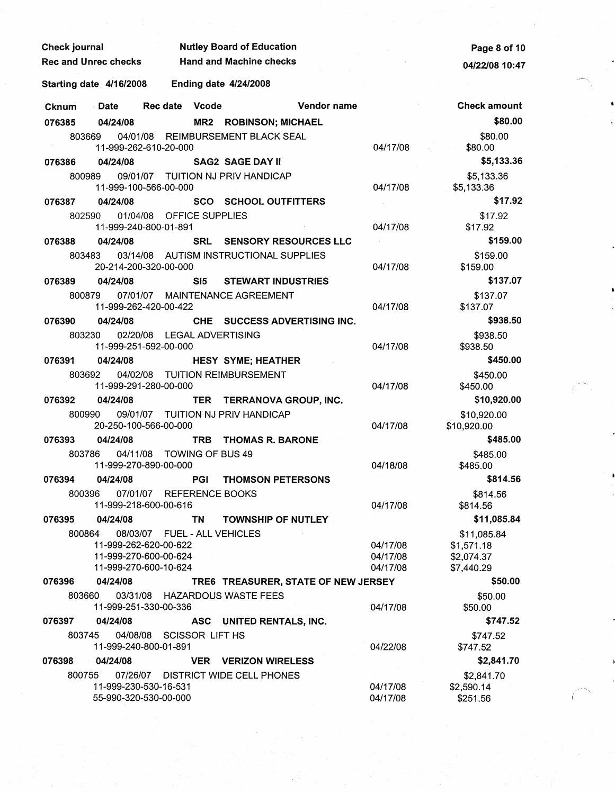| Check journal               |                                                                         |                              | <b>Nutley Board of Education</b>       |                                  | Page 8 of 10                                          |
|-----------------------------|-------------------------------------------------------------------------|------------------------------|----------------------------------------|----------------------------------|-------------------------------------------------------|
| <b>Rec and Unrec checks</b> |                                                                         |                              | <b>Hand and Machine checks</b>         |                                  | 04/22/08 10:47                                        |
| Starting date 4/16/2008     |                                                                         | <b>Ending date 4/24/2008</b> |                                        |                                  |                                                       |
| Cknum                       | Date                                                                    | Rec date Vcode               | Vendor name                            |                                  | <b>Check amount</b>                                   |
| 076385                      | 04/24/08                                                                |                              | <b>MR2 ROBINSON; MICHAEL</b>           |                                  | \$80.00                                               |
| 803669                      | 11-999-262-610-20-000                                                   |                              | 04/01/08 REIMBURSEMENT BLACK SEAL      | 04/17/08                         | \$80.00<br>\$80.00                                    |
| 076386                      | 04/24/08                                                                |                              | <b>SAG2 SAGE DAY II</b>                |                                  | \$5,133.36                                            |
| 800989                      | 11-999-100-566-00-000                                                   |                              | 09/01/07 TUITION NJ PRIV HANDICAP      | 04/17/08                         | \$5,133.36<br>\$5,133.36                              |
| 076387                      | 04/24/08                                                                |                              | <b>SCO SCHOOL OUTFITTERS</b>           |                                  | \$17.92                                               |
| 802590                      | 11-999-240-800-01-891                                                   | 01/04/08 OFFICE SUPPLIES     |                                        | 04/17/08                         | \$17.92<br>\$17.92                                    |
| 076388                      | 04/24/08                                                                |                              | SRL SENSORY RESOURCES LLC              |                                  | \$159.00                                              |
| 803483                      | 20-214-200-320-00-000                                                   |                              | 03/14/08 AUTISM INSTRUCTIONAL SUPPLIES | 04/17/08                         | \$159.00<br>\$159.00                                  |
| 076389                      | 04/24/08                                                                | SI5                          | <b>STEWART INDUSTRIES</b>              |                                  | \$137.07                                              |
| 800879                      | 11-999-262-420-00-422                                                   |                              | 07/01/07 MAINTENANCE AGREEMENT         | 04/17/08                         | \$137.07<br>\$137.07                                  |
| 076390                      | 04/24/08                                                                |                              | CHE SUCCESS ADVERTISING INC.           |                                  | \$938.50                                              |
| 803230                      | 11-999-251-592-00-000                                                   | 02/20/08 LEGAL ADVERTISING   |                                        | 04/17/08                         | \$938.50<br>\$938.50                                  |
| 076391                      | 04/24/08                                                                |                              | <b>HESY SYME; HEATHER</b>              |                                  | \$450.00                                              |
| 803692                      | 11-999-291-280-00-000                                                   |                              | 04/02/08 TUITION REIMBURSEMENT         | 04/17/08                         | \$450.00<br>\$450.00                                  |
| 076392                      | 04/24/08                                                                |                              | TER TERRANOVA GROUP, INC.              |                                  | \$10,920.00                                           |
| 800990                      | 20-250-100-566-00-000                                                   |                              | 09/01/07 TUITION NJ PRIV HANDICAP      | 04/17/08                         | \$10,920.00<br>\$10,920.00                            |
| 076393                      | 04/24/08                                                                | <b>TRB</b>                   | <b>THOMAS R. BARONE</b>                |                                  | \$485.00                                              |
| 803786                      | 11-999-270-890-00-000                                                   | 04/11/08 TOWING OF BUS 49    |                                        | 04/18/08                         | \$485.00<br>\$485.00                                  |
| 076394                      | 04/24/08                                                                | <b>PGI</b>                   | <b>THOMSON PETERSONS</b>               |                                  | \$814.56                                              |
| 800396                      | 11-999-218-600-00-616                                                   | 07/01/07 REFERENCE BOOKS     |                                        | 04/17/08                         | \$814.56<br>\$814.56                                  |
| 076395                      | 04/24/08                                                                | <b>TN</b>                    | <b>TOWNSHIP OF NUTLEY</b>              |                                  | \$11,085.84                                           |
| 800864                      | 11-999-262-620-00-622<br>11-999-270-600-00-624<br>11-999-270-600-10-624 | 08/03/07 FUEL - ALL VEHICLES |                                        | 04/17/08<br>04/17/08<br>04/17/08 | \$11,085.84<br>\$1,571.18<br>\$2,074.37<br>\$7,440.29 |
| 076396                      | 04/24/08                                                                |                              | TRE6 TREASURER, STATE OF NEW JERSEY    |                                  | \$50.00                                               |
| 803660                      | 11-999-251-330-00-336                                                   |                              | 03/31/08 HAZARDOUS WASTE FEES          | 04/17/08                         | \$50.00<br>\$50.00                                    |
| 076397                      | 04/24/08                                                                |                              | ASC UNITED RENTALS, INC.               |                                  | \$747.52                                              |
| 803745                      | 11-999-240-800-01-891                                                   | 04/08/08 SCISSOR LIFT HS     |                                        | 04/22/08                         | \$747.52<br>\$747.52                                  |
| 076398                      | 04/24/08                                                                |                              | <b>VER VERIZON WIRELESS</b>            |                                  | \$2,841.70                                            |
| 800755                      | 11-999-230-530-16-531<br>55-990-320-530-00-000                          |                              | 07/26/07 DISTRICT WIDE CELL PHONES     | 04/17/08<br>04/17/08             | \$2,841.70<br>\$2,590.14<br>\$251.56                  |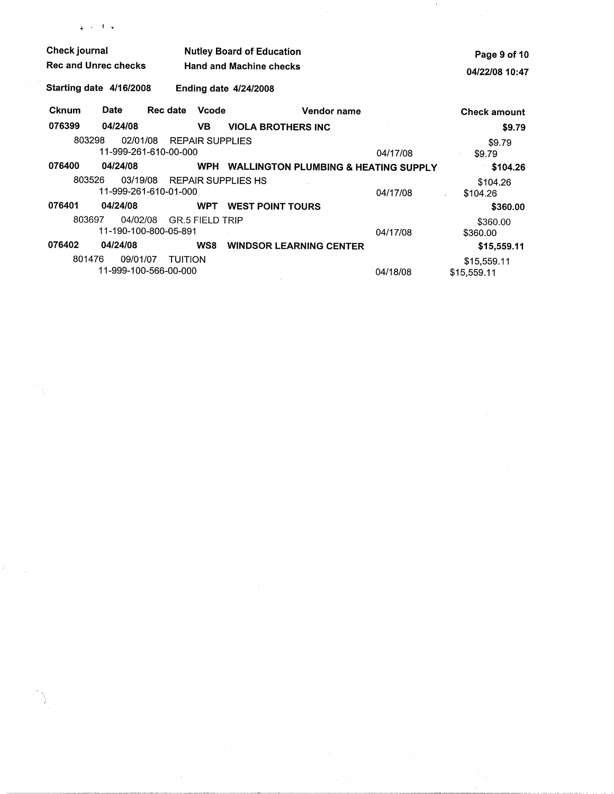| <b>Check journal</b>        |          |                                         | <b>Nutley Board of Education</b> |                                                 | Page 9 of 10 |                            |
|-----------------------------|----------|-----------------------------------------|----------------------------------|-------------------------------------------------|--------------|----------------------------|
| <b>Rec and Unrec checks</b> |          |                                         |                                  | <b>Hand and Machine checks</b>                  |              | 04/22/08 10:47             |
| Starting date 4/16/2008     |          |                                         |                                  | <b>Ending date 4/24/2008</b>                    |              |                            |
| <b>Cknum</b>                | Date     | <b>Rec date</b>                         | <b>Vcode</b>                     | Vendor name                                     |              | <b>Check amount</b>        |
| 076399                      | 04/24/08 |                                         | VB.                              | <b>VIOLA BROTHERS INC</b>                       |              | \$9.79                     |
| 803298                      | 02/01/08 | 11-999-261-610-00-000                   | <b>REPAIR SUPPLIES</b>           |                                                 | 04/17/08     | \$9.79<br>\$9.79           |
| 076400                      | 04/24/08 |                                         | <b>WPH</b>                       | <b>WALLINGTON PLUMBING &amp; HEATING SUPPLY</b> |              | \$104.26                   |
| 803526                      | 03/19/08 | 11-999-261-610-01-000                   |                                  | <b>REPAIR SUPPLIES HS</b>                       | 04/17/08     | \$104.26<br>\$104.26       |
| 076401                      | 04/24/08 |                                         | <b>WPT</b>                       | <b>WEST POINT TOURS</b>                         |              | \$360.00                   |
| 803697                      | 04/02/08 | 11-190-100-800-05-891                   | <b>GR.5 FIELD TRIP</b>           |                                                 | 04/17/08     | \$360.00<br>\$360.00       |
| 076402                      | 04/24/08 |                                         | WS8                              | <b>WINDSOR LEARNING CENTER</b>                  |              | \$15,559.11                |
| 801476                      | 09/01/07 | <b>TUITION</b><br>11-999-100-566-00-000 |                                  |                                                 | 04/18/08     | \$15,559.11<br>\$15,559.11 |

 $\mathcal{N}(\mathcal{A})$  .

 $\mathbf{L}$  .